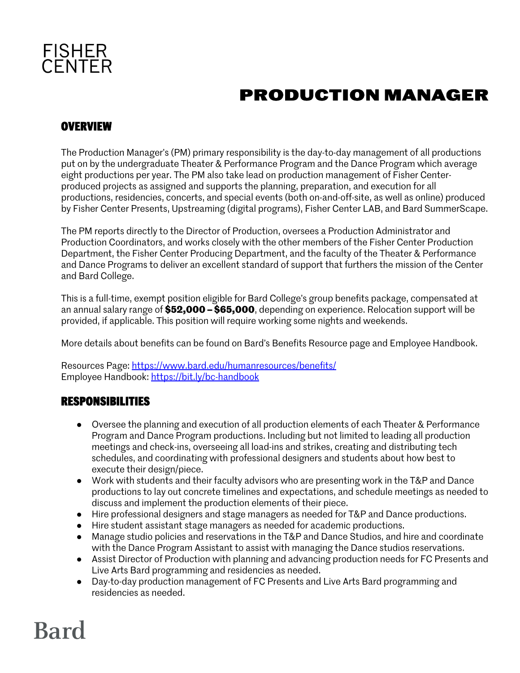

## **PRODUCTION MANAGER**

#### **OVERVIEW**

The Production Manager's (PM) primary responsibility is the day-to-day management of all productions put on by the undergraduate Theater & Performance Program and the Dance Program which average eight productions per year. The PM also take lead on production management of Fisher Centerproduced projects as assigned and supports the planning, preparation, and execution for all productions, residencies, concerts, and special events (both on-and-off-site, as well as online) produced by Fisher Center Presents, Upstreaming (digital programs), Fisher Center LAB, and Bard SummerScape.

The PM reports directly to the Director of Production, oversees a Production Administrator and Production Coordinators, and works closely with the other members of the Fisher Center Production Department, the Fisher Center Producing Department, and the faculty of the Theater & Performance and Dance Programs to deliver an excellent standard of support that furthers the mission of the Center and Bard College.

This is a full-time, exempt position eligible for Bard College's group benefits package, compensated at an annual salary range of **\$52,000 –\$65,000**, depending on experience. Relocation support will be provided, if applicable. This position will require working some nights and weekends.

More details about benefits can be found on Bard's Benefits Resource page and Employee Handbook.

Resources Page: https://www.bard.edu/humanresources/benefits/ Employee Handbook: https://bit.ly/bc-handbook

#### **RESPONSIBILITIES**

- Oversee the planning and execution of all production elements of each Theater & Performance Program and Dance Program productions. Including but not limited to leading all production meetings and check-ins, overseeing all load-ins and strikes, creating and distributing tech schedules, and coordinating with professional designers and students about how best to execute their design/piece.
- Work with students and their faculty advisors who are presenting work in the T&P and Dance productions to lay out concrete timelines and expectations, and schedule meetings as needed to discuss and implement the production elements of their piece.
- Hire professional designers and stage managers as needed for T&P and Dance productions.
- Hire student assistant stage managers as needed for academic productions.
- Manage studio policies and reservations in the T&P and Dance Studios, and hire and coordinate with the Dance Program Assistant to assist with managing the Dance studios reservations.
- Assist Director of Production with planning and advancing production needs for FC Presents and Live Arts Bard programming and residencies as needed.
- Day-to-day production management of FC Presents and Live Arts Bard programming and residencies as needed.

## **Bard**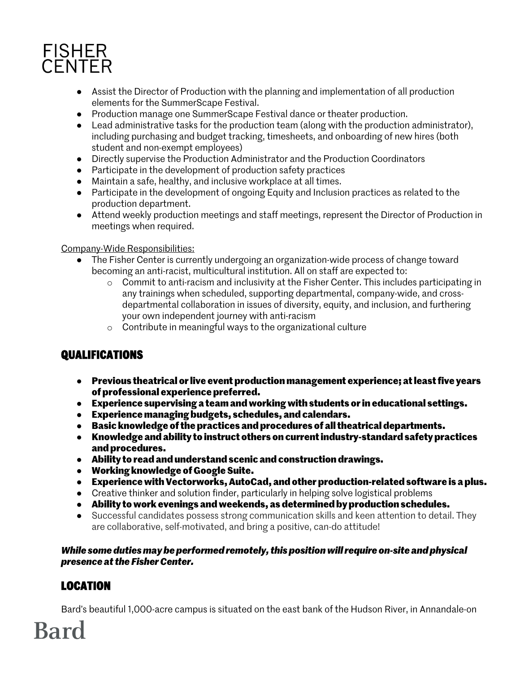

- Assist the Director of Production with the planning and implementation of all production elements for the SummerScape Festival.
- Production manage one SummerScape Festival dance or theater production.
- Lead administrative tasks for the production team (along with the production administrator), including purchasing and budget tracking, timesheets, and onboarding of new hires (both student and non-exempt employees)
- Directly supervise the Production Administrator and the Production Coordinators
- Participate in the development of production safety practices
- Maintain a safe, healthy, and inclusive workplace at all times.
- Participate in the development of ongoing Equity and Inclusion practices as related to the production department.
- Attend weekly production meetings and staff meetings, represent the Director of Production in meetings when required.

#### Company-Wide Responsibilities:

- The Fisher Center is currently undergoing an organization-wide process of change toward becoming an anti-racist, multicultural institution. All on staff are expected to:
	- o Commit to anti-racism and inclusivity at the Fisher Center. This includes participating in any trainings when scheduled, supporting departmental, company-wide, and crossdepartmental collaboration in issues of diversity, equity, and inclusion, and furthering your own independent journey with anti-racism
	- o Contribute in meaningful ways to the organizational culture

## **QUALIFICATIONS**

- **Previous theatrical or live event production management experience; at least five years of professional experience preferred.**
- **Experience supervising a team and working with students or in educational settings.**
- **Experience managing budgets, schedules, and calendars.**
- **Basic knowledge of the practices and procedures of all theatrical departments.**
- **Knowledge and ability to instruct others on current industry-standard safety practices and procedures.**
- **Ability to read and understand scenic and construction drawings.**
- **Working knowledge of Google Suite.**
- **Experience with Vectorworks, AutoCad, and other production-related software is a plus.**
- Creative thinker and solution finder, particularly in helping solve logistical problems
- **Ability to work evenings and weekends, as determined by production schedules.**
- Successful candidates possess strong communication skills and keen attention to detail. They are collaborative, self-motivated, and bring a positive, can-do attitude!

*While some duties may be performed remotely, this position will require on-site and physical presence at the Fisher Center.*

## **LOCATION**

**Bard** 

Bard's beautiful 1,000-acre campus is situated on the east bank of the Hudson River, in Annandale-on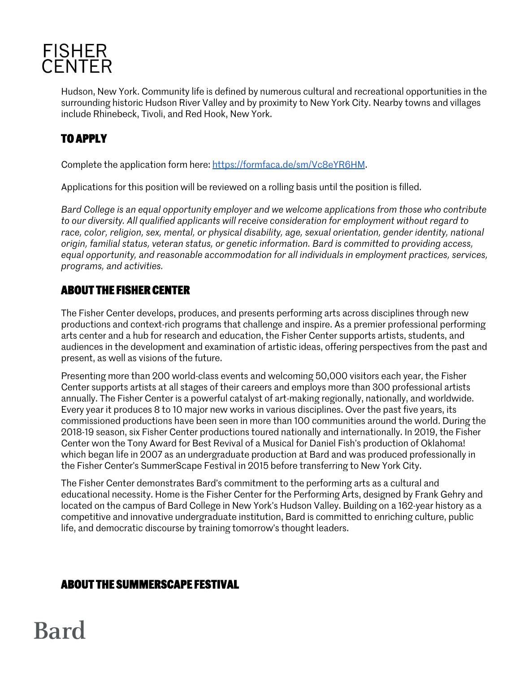

Hudson, New York. Community life is defined by numerous cultural and recreational opportunities in the surrounding historic Hudson River Valley and by proximity to New York City. Nearby towns and villages include Rhinebeck, Tivoli, and Red Hook, New York.

## **TO APPLY**

Complete the application form here: https://formfaca.de/sm/Vc8eYR6HM.

Applications for this position will be reviewed on a rolling basis until the position is filled.

*Bard College is an equal opportunity employer and we welcome applications from those who contribute to our diversity. All qualified applicants will receive consideration for employment without regard to race, color, religion, sex, mental, or physical disability, age, sexual orientation, gender identity, national origin, familial status, veteran status, or genetic information. Bard is committed to providing access, equal opportunity, and reasonable accommodation for all individuals in employment practices, services, programs, and activities.*

#### **ABOUT THE FISHER CENTER**

The Fisher Center develops, produces, and presents performing arts across disciplines through new productions and context-rich programs that challenge and inspire. As a premier professional performing arts center and a hub for research and education, the Fisher Center supports artists, students, and audiences in the development and examination of artistic ideas, offering perspectives from the past and present, as well as visions of the future.

Presenting more than 200 world-class events and welcoming 50,000 visitors each year, the Fisher Center supports artists at all stages of their careers and employs more than 300 professional artists annually. The Fisher Center is a powerful catalyst of art-making regionally, nationally, and worldwide. Every year it produces 8 to 10 major new works in various disciplines. Over the past five years, its commissioned productions have been seen in more than 100 communities around the world. During the 2018-19 season, six Fisher Center productions toured nationally and internationally. In 2019, the Fisher Center won the Tony Award for Best Revival of a Musical for Daniel Fish's production of Oklahoma! which began life in 2007 as an undergraduate production at Bard and was produced professionally in the Fisher Center's SummerScape Festival in 2015 before transferring to New York City.

The Fisher Center demonstrates Bard's commitment to the performing arts as a cultural and educational necessity. Home is the Fisher Center for the Performing Arts, designed by Frank Gehry and located on the campus of Bard College in New York's Hudson Valley. Building on a 162-year history as a competitive and innovative undergraduate institution, Bard is committed to enriching culture, public life, and democratic discourse by training tomorrow's thought leaders.

### **ABOUT THE SUMMERSCAPE FESTIVAL**

# **Bard**